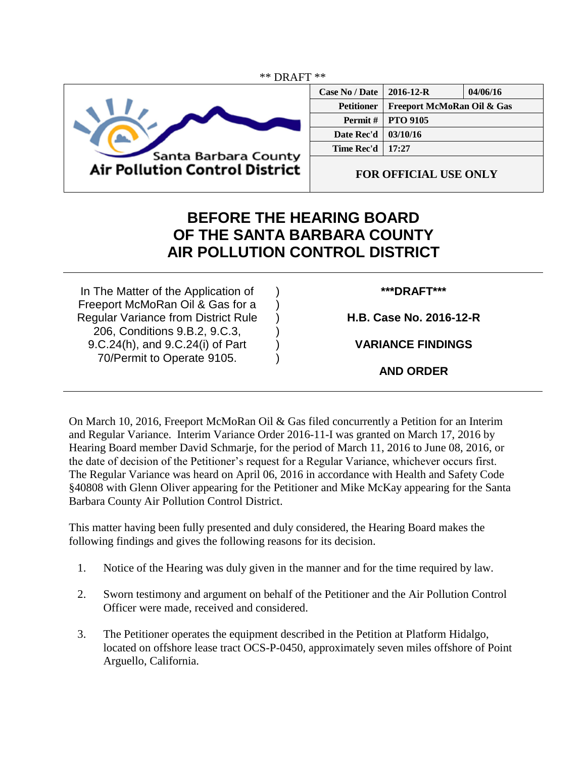

| <b>Case No / Date</b> | $2016 - 12 - R$                       | 04/06/16 |
|-----------------------|---------------------------------------|----------|
| <b>Petitioner</b>     | <b>Freeport McMoRan Oil &amp; Gas</b> |          |
| Permit #              | <b>PTO 9105</b>                       |          |
| Date Rec'd            | 03/10/16                              |          |
| Time Rec'd            | 17:27                                 |          |
|                       |                                       |          |

**FOR OFFICIAL USE ONLY**

## **BEFORE THE HEARING BOARD OF THE SANTA BARBARA COUNTY AIR POLLUTION CONTROL DISTRICT**

) ) ) ) ) )

In The Matter of the Application of Freeport McMoRan Oil & Gas for a Regular Variance from District Rule 206, Conditions 9.B.2, 9.C.3, 9.C.24(h), and 9.C.24(i) of Part 70/Permit to Operate 9105.

## **\*\*\*DRAFT\*\*\***

**H.B. Case No. 2016-12-R**

**VARIANCE FINDINGS**

**AND ORDER**

On March 10, 2016, Freeport McMoRan Oil & Gas filed concurrently a Petition for an Interim and Regular Variance. Interim Variance Order 2016-11-I was granted on March 17, 2016 by Hearing Board member David Schmarje, for the period of March 11, 2016 to June 08, 2016, or the date of decision of the Petitioner's request for a Regular Variance, whichever occurs first. The Regular Variance was heard on April 06, 2016 in accordance with Health and Safety Code §40808 with Glenn Oliver appearing for the Petitioner and Mike McKay appearing for the Santa Barbara County Air Pollution Control District.

This matter having been fully presented and duly considered, the Hearing Board makes the following findings and gives the following reasons for its decision.

- 1. Notice of the Hearing was duly given in the manner and for the time required by law.
- 2. Sworn testimony and argument on behalf of the Petitioner and the Air Pollution Control Officer were made, received and considered.
- 3. The Petitioner operates the equipment described in the Petition at Platform Hidalgo, located on offshore lease tract OCS-P-0450, approximately seven miles offshore of Point Arguello, California.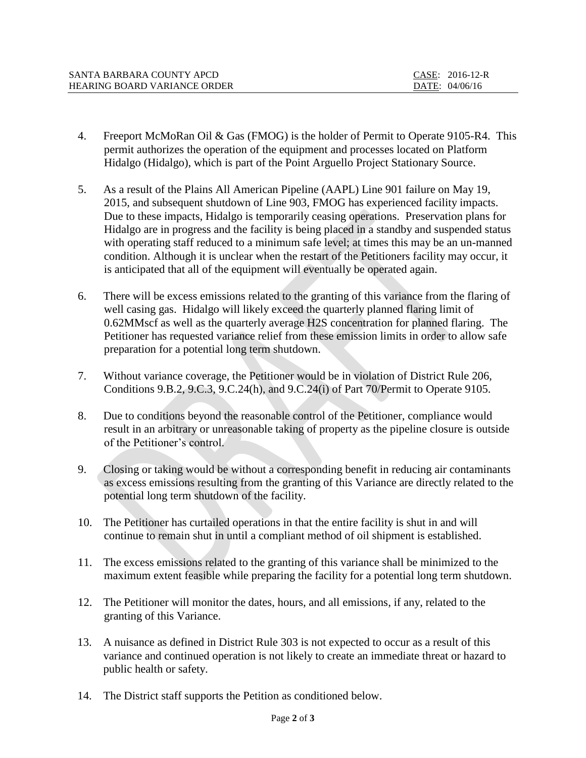| SANTA BARBARA COUNTY APCD           | CASE: 2016-12-R |
|-------------------------------------|-----------------|
| <b>HEARING BOARD VARIANCE ORDER</b> | DATE: 04/06/16  |

- 4. Freeport McMoRan Oil & Gas (FMOG) is the holder of Permit to Operate 9105-R4. This permit authorizes the operation of the equipment and processes located on Platform Hidalgo (Hidalgo), which is part of the Point Arguello Project Stationary Source.
- 5. As a result of the Plains All American Pipeline (AAPL) Line 901 failure on May 19, 2015, and subsequent shutdown of Line 903, FMOG has experienced facility impacts. Due to these impacts, Hidalgo is temporarily ceasing operations. Preservation plans for Hidalgo are in progress and the facility is being placed in a standby and suspended status with operating staff reduced to a minimum safe level; at times this may be an un-manned condition. Although it is unclear when the restart of the Petitioners facility may occur, it is anticipated that all of the equipment will eventually be operated again.
- 6. There will be excess emissions related to the granting of this variance from the flaring of well casing gas. Hidalgo will likely exceed the quarterly planned flaring limit of 0.62MMscf as well as the quarterly average H2S concentration for planned flaring. The Petitioner has requested variance relief from these emission limits in order to allow safe preparation for a potential long term shutdown.
- 7. Without variance coverage, the Petitioner would be in violation of District Rule 206, Conditions 9.B.2, 9.C.3, 9.C.24(h), and 9.C.24(i) of Part 70/Permit to Operate 9105.
- 8. Due to conditions beyond the reasonable control of the Petitioner, compliance would result in an arbitrary or unreasonable taking of property as the pipeline closure is outside of the Petitioner's control.
- 9. Closing or taking would be without a corresponding benefit in reducing air contaminants as excess emissions resulting from the granting of this Variance are directly related to the potential long term shutdown of the facility.
- 10. The Petitioner has curtailed operations in that the entire facility is shut in and will continue to remain shut in until a compliant method of oil shipment is established.
- 11. The excess emissions related to the granting of this variance shall be minimized to the maximum extent feasible while preparing the facility for a potential long term shutdown.
- 12. The Petitioner will monitor the dates, hours, and all emissions, if any, related to the granting of this Variance.
- 13. A nuisance as defined in District Rule 303 is not expected to occur as a result of this variance and continued operation is not likely to create an immediate threat or hazard to public health or safety.
- 14. The District staff supports the Petition as conditioned below.